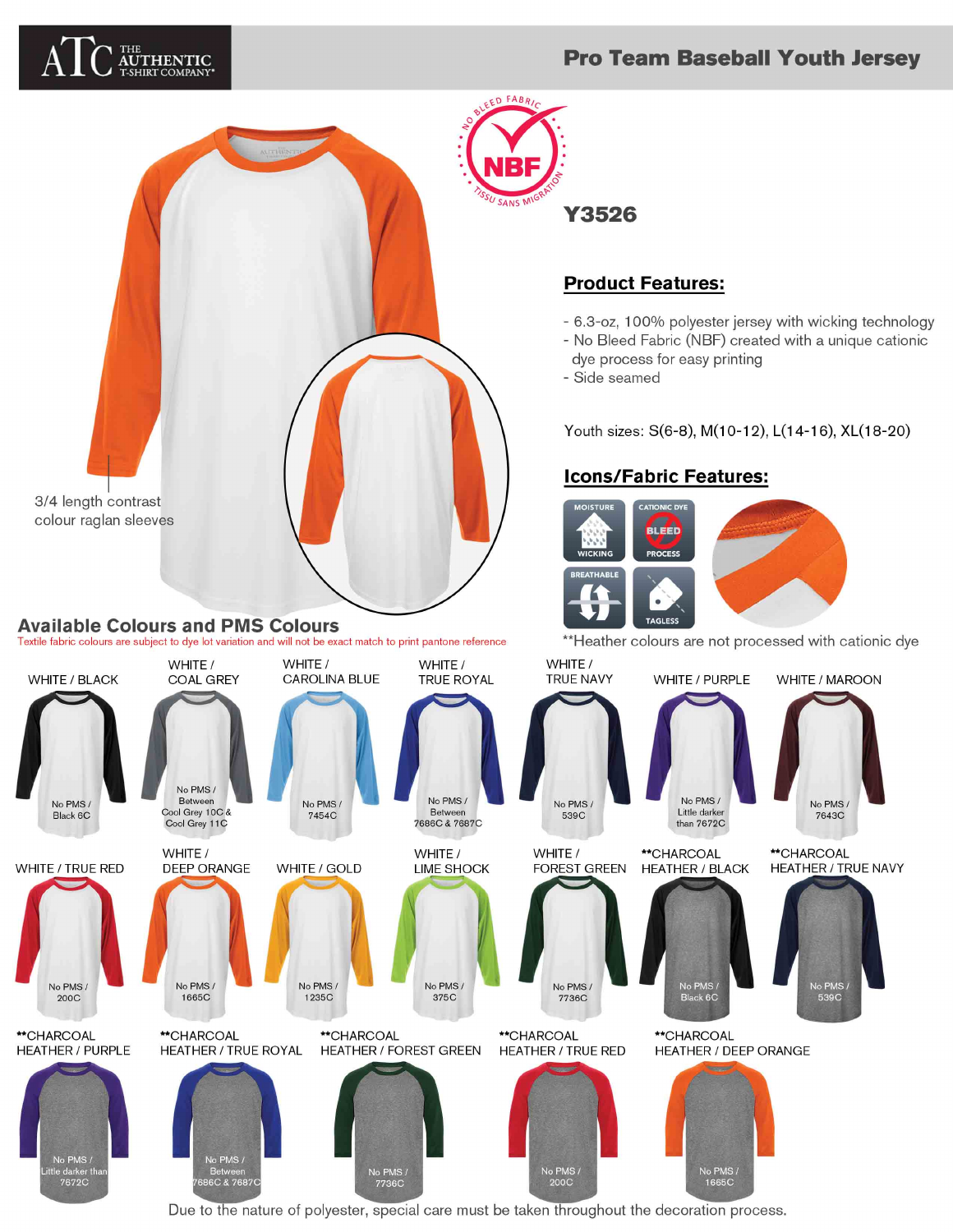# **Pro Team Baseball Youth Jersey**



7672C



Due to the nature of polyester, special care must be taken throughout the decoration process.